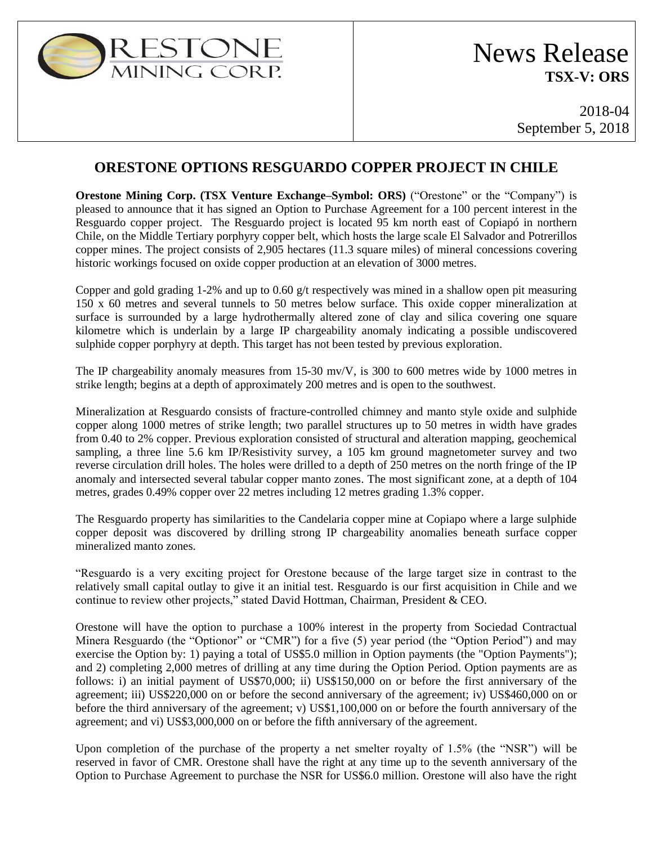

2018-04 September 5, 2018

## **ORESTONE OPTIONS RESGUARDO COPPER PROJECT IN CHILE**

**Orestone Mining Corp. (TSX Venture Exchange–Symbol: ORS)** ("Orestone" or the "Company") is pleased to announce that it has signed an Option to Purchase Agreement for a 100 percent interest in the Resguardo copper project. The Resguardo project is located 95 km north east of Copiapó in northern Chile, on the Middle Tertiary porphyry copper belt, which hosts the large scale El Salvador and Potrerillos copper mines. The project consists of 2,905 hectares (11.3 square miles) of mineral concessions covering historic workings focused on oxide copper production at an elevation of 3000 metres.

Copper and gold grading 1-2% and up to 0.60  $g/t$  respectively was mined in a shallow open pit measuring 150 x 60 metres and several tunnels to 50 metres below surface. This oxide copper mineralization at surface is surrounded by a large hydrothermally altered zone of clay and silica covering one square kilometre which is underlain by a large IP chargeability anomaly indicating a possible undiscovered sulphide copper porphyry at depth. This target has not been tested by previous exploration.

The IP chargeability anomaly measures from 15-30 mv/V, is 300 to 600 metres wide by 1000 metres in strike length; begins at a depth of approximately 200 metres and is open to the southwest.

Mineralization at Resguardo consists of fracture-controlled chimney and manto style oxide and sulphide copper along 1000 metres of strike length; two parallel structures up to 50 metres in width have grades from 0.40 to 2% copper. Previous exploration consisted of structural and alteration mapping, geochemical sampling, a three line 5.6 km IP/Resistivity survey, a 105 km ground magnetometer survey and two reverse circulation drill holes. The holes were drilled to a depth of 250 metres on the north fringe of the IP anomaly and intersected several tabular copper manto zones. The most significant zone, at a depth of 104 metres, grades 0.49% copper over 22 metres including 12 metres grading 1.3% copper.

The Resguardo property has similarities to the Candelaria copper mine at Copiapo where a large sulphide copper deposit was discovered by drilling strong IP chargeability anomalies beneath surface copper mineralized manto zones.

"Resguardo is a very exciting project for Orestone because of the large target size in contrast to the relatively small capital outlay to give it an initial test. Resguardo is our first acquisition in Chile and we continue to review other projects," stated David Hottman, Chairman, President & CEO.

Orestone will have the option to purchase a 100% interest in the property from Sociedad Contractual Minera Resguardo (the "Optionor" or "CMR") for a five (5) year period (the "Option Period") and may exercise the Option by: 1) paying a total of US\$5.0 million in Option payments (the "Option Payments"); and 2) completing 2,000 metres of drilling at any time during the Option Period. Option payments are as follows: i) an initial payment of US\$70,000; ii) US\$150,000 on or before the first anniversary of the agreement; iii) US\$220,000 on or before the second anniversary of the agreement; iv) US\$460,000 on or before the third anniversary of the agreement; v) US\$1,100,000 on or before the fourth anniversary of the agreement; and vi) US\$3,000,000 on or before the fifth anniversary of the agreement.

Upon completion of the purchase of the property a net smelter royalty of 1.5% (the "NSR") will be reserved in favor of CMR. Orestone shall have the right at any time up to the seventh anniversary of the Option to Purchase Agreement to purchase the NSR for US\$6.0 million. Orestone will also have the right